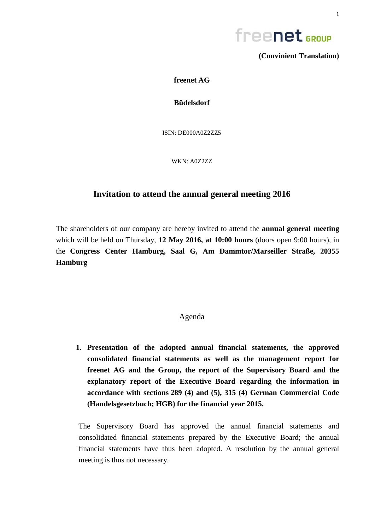

1

**freenet AG**

**Büdelsdorf**

ISIN: DE000A0Z2ZZ5

WKN: A0Z2ZZ

## **Invitation to attend the annual general meeting 2016**

The shareholders of our company are hereby invited to attend the **annual general meeting** which will be held on Thursday, **12 May 2016, at 10:00 hours** (doors open 9:00 hours), in the **Congress Center Hamburg, Saal G, Am Dammtor/Marseiller Straße, 20355 Hamburg**

#### Agenda

**1. Presentation of the adopted annual financial statements, the approved consolidated financial statements as well as the management report for freenet AG and the Group, the report of the Supervisory Board and the explanatory report of the Executive Board regarding the information in accordance with sections 289 (4) and (5), 315 (4) German Commercial Code (Handelsgesetzbuch; HGB) for the financial year 2015.**

The Supervisory Board has approved the annual financial statements and consolidated financial statements prepared by the Executive Board; the annual financial statements have thus been adopted. A resolution by the annual general meeting is thus not necessary.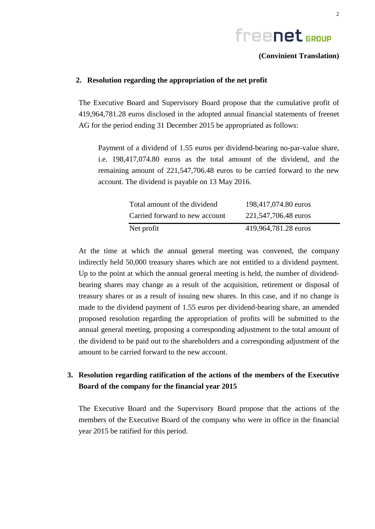

#### **2. Resolution regarding the appropriation of the net profit**

The Executive Board and Supervisory Board propose that the cumulative profit of 419,964,781.28 euros disclosed in the adopted annual financial statements of freenet AG for the period ending 31 December 2015 be appropriated as follows:

Payment of a dividend of 1.55 euros per dividend-bearing no-par-value share, i.e. 198,417,074.80 euros as the total amount of the dividend, and the remaining amount of 221,547,706.48 euros to be carried forward to the new account. The dividend is payable on 13 May 2016.

| Total amount of the dividend   | 198,417,074.80 euros |
|--------------------------------|----------------------|
| Carried forward to new account | 221,547,706.48 euros |
| Net profit                     | 419,964,781.28 euros |

At the time at which the annual general meeting was convened, the company indirectly held 50,000 treasury shares which are not entitled to a dividend payment. Up to the point at which the annual general meeting is held, the number of dividendbearing shares may change as a result of the acquisition, retirement or disposal of treasury shares or as a result of issuing new shares. In this case, and if no change is made to the dividend payment of 1.55 euros per dividend-bearing share, an amended proposed resolution regarding the appropriation of profits will be submitted to the annual general meeting, proposing a corresponding adjustment to the total amount of the dividend to be paid out to the shareholders and a corresponding adjustment of the amount to be carried forward to the new account.

## **3. Resolution regarding ratification of the actions of the members of the Executive Board of the company for the financial year 2015**

The Executive Board and the Supervisory Board propose that the actions of the members of the Executive Board of the company who were in office in the financial year 2015 be ratified for this period.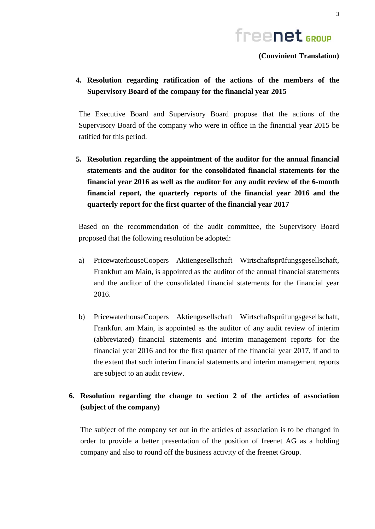

## **4. Resolution regarding ratification of the actions of the members of the Supervisory Board of the company for the financial year 2015**

The Executive Board and Supervisory Board propose that the actions of the Supervisory Board of the company who were in office in the financial year 2015 be ratified for this period.

**5. Resolution regarding the appointment of the auditor for the annual financial statements and the auditor for the consolidated financial statements for the financial year 2016 as well as the auditor for any audit review of the 6-month financial report, the quarterly reports of the financial year 2016 and the quarterly report for the first quarter of the financial year 2017**

Based on the recommendation of the audit committee, the Supervisory Board proposed that the following resolution be adopted:

- a) PricewaterhouseCoopers Aktiengesellschaft Wirtschaftsprüfungsgesellschaft, Frankfurt am Main, is appointed as the auditor of the annual financial statements and the auditor of the consolidated financial statements for the financial year 2016.
- b) PricewaterhouseCoopers Aktiengesellschaft Wirtschaftsprüfungsgesellschaft, Frankfurt am Main, is appointed as the auditor of any audit review of interim (abbreviated) financial statements and interim management reports for the financial year 2016 and for the first quarter of the financial year 2017, if and to the extent that such interim financial statements and interim management reports are subject to an audit review.

## **6. Resolution regarding the change to section 2 of the articles of association (subject of the company)**

The subject of the company set out in the articles of association is to be changed in order to provide a better presentation of the position of freenet AG as a holding company and also to round off the business activity of the freenet Group.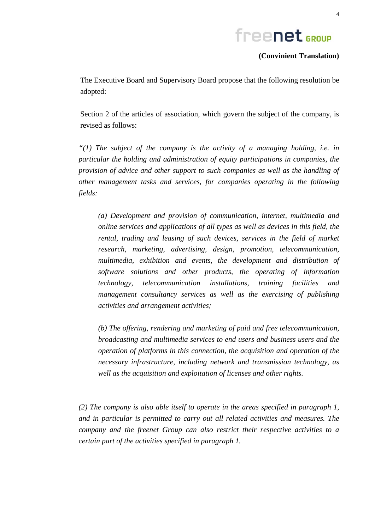## **(Convinient Translation)**

The Executive Board and Supervisory Board propose that the following resolution be adopted:

Section 2 of the articles of association, which govern the subject of the company, is revised as follows:

*"(1) The subject of the company is the activity of a managing holding, i.e. in particular the holding and administration of equity participations in companies, the provision of advice and other support to such companies as well as the handling of other management tasks and services, for companies operating in the following fields:*

*(a) Development and provision of communication, internet, multimedia and online services and applications of all types as well as devices in this field, the rental, trading and leasing of such devices, services in the field of market research, marketing, advertising, design, promotion, telecommunication, multimedia, exhibition and events, the development and distribution of software solutions and other products, the operating of information technology, telecommunication installations, training facilities and management consultancy services as well as the exercising of publishing activities and arrangement activities;*

*(b) The offering, rendering and marketing of paid and free telecommunication, broadcasting and multimedia services to end users and business users and the operation of platforms in this connection, the acquisition and operation of the necessary infrastructure, including network and transmission technology, as well as the acquisition and exploitation of licenses and other rights.*

*(2) The company is also able itself to operate in the areas specified in paragraph 1, and in particular is permitted to carry out all related activities and measures. The company and the freenet Group can also restrict their respective activities to a certain part of the activities specified in paragraph 1.*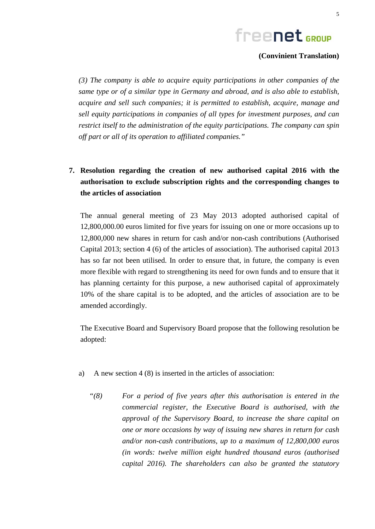## **(Convinient Translation)**

*(3) The company is able to acquire equity participations in other companies of the same type or of a similar type in Germany and abroad, and is also able to establish, acquire and sell such companies; it is permitted to establish, acquire, manage and sell equity participations in companies of all types for investment purposes, and can restrict itself to the administration of the equity participations. The company can spin off part or all of its operation to affiliated companies."*

## **7. Resolution regarding the creation of new authorised capital 2016 with the authorisation to exclude subscription rights and the corresponding changes to the articles of association**

The annual general meeting of 23 May 2013 adopted authorised capital of 12,800,000.00 euros limited for five years for issuing on one or more occasions up to 12,800,000 new shares in return for cash and/or non-cash contributions (Authorised Capital 2013; section 4 (6) of the articles of association). The authorised capital 2013 has so far not been utilised. In order to ensure that, in future, the company is even more flexible with regard to strengthening its need for own funds and to ensure that it has planning certainty for this purpose, a new authorised capital of approximately 10% of the share capital is to be adopted, and the articles of association are to be amended accordingly.

The Executive Board and Supervisory Board propose that the following resolution be adopted:

- a) A new section 4 (8) is inserted in the articles of association:
	- *"(8) For a period of five years after this authorisation is entered in the commercial register, the Executive Board is authorised, with the approval of the Supervisory Board, to increase the share capital on one or more occasions by way of issuing new shares in return for cash and/or non-cash contributions, up to a maximum of 12,800,000 euros (in words: twelve million eight hundred thousand euros (authorised capital 2016). The shareholders can also be granted the statutory*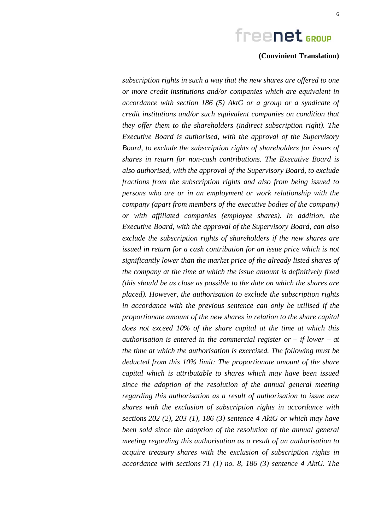#### **(Convinient Translation)**

*subscription rights in such a way that the new shares are offered to one or more credit institutions and/or companies which are equivalent in accordance with section 186 (5) AktG or a group or a syndicate of credit institutions and/or such equivalent companies on condition that they offer them to the shareholders (indirect subscription right). The Executive Board is authorised, with the approval of the Supervisory Board, to exclude the subscription rights of shareholders for issues of shares in return for non-cash contributions. The Executive Board is also authorised, with the approval of the Supervisory Board, to exclude fractions from the subscription rights and also from being issued to persons who are or in an employment or work relationship with the company (apart from members of the executive bodies of the company) or with affiliated companies (employee shares). In addition, the Executive Board, with the approval of the Supervisory Board, can also exclude the subscription rights of shareholders if the new shares are issued in return for a cash contribution for an issue price which is not significantly lower than the market price of the already listed shares of the company at the time at which the issue amount is definitively fixed (this should be as close as possible to the date on which the shares are placed). However, the authorisation to exclude the subscription rights in accordance with the previous sentence can only be utilised if the proportionate amount of the new shares in relation to the share capital does not exceed 10% of the share capital at the time at which this authorisation is entered in the commercial register or – if lower – at the time at which the authorisation is exercised. The following must be deducted from this 10% limit: The proportionate amount of the share capital which is attributable to shares which may have been issued since the adoption of the resolution of the annual general meeting regarding this authorisation as a result of authorisation to issue new shares with the exclusion of subscription rights in accordance with sections 202 (2), 203 (1), 186 (3) sentence 4 AktG or which may have been sold since the adoption of the resolution of the annual general meeting regarding this authorisation as a result of an authorisation to acquire treasury shares with the exclusion of subscription rights in accordance with sections 71 (1) no. 8, 186 (3) sentence 4 AktG. The*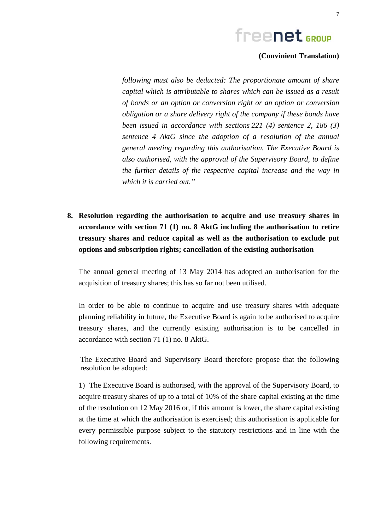### **(Convinient Translation)**

*following must also be deducted: The proportionate amount of share capital which is attributable to shares which can be issued as a result of bonds or an option or conversion right or an option or conversion obligation or a share delivery right of the company if these bonds have been issued in accordance with sections 221 (4) sentence 2, 186 (3) sentence 4 AktG since the adoption of a resolution of the annual general meeting regarding this authorisation. The Executive Board is also authorised, with the approval of the Supervisory Board, to define the further details of the respective capital increase and the way in which it is carried out."*

**8. Resolution regarding the authorisation to acquire and use treasury shares in accordance with section 71 (1) no. 8 AktG including the authorisation to retire treasury shares and reduce capital as well as the authorisation to exclude put options and subscription rights; cancellation of the existing authorisation** 

The annual general meeting of 13 May 2014 has adopted an authorisation for the acquisition of treasury shares; this has so far not been utilised.

In order to be able to continue to acquire and use treasury shares with adequate planning reliability in future, the Executive Board is again to be authorised to acquire treasury shares, and the currently existing authorisation is to be cancelled in accordance with section 71 (1) no. 8 AktG.

The Executive Board and Supervisory Board therefore propose that the following resolution be adopted:

1) The Executive Board is authorised, with the approval of the Supervisory Board, to acquire treasury shares of up to a total of 10% of the share capital existing at the time of the resolution on 12 May 2016 or, if this amount is lower, the share capital existing at the time at which the authorisation is exercised; this authorisation is applicable for every permissible purpose subject to the statutory restrictions and in line with the following requirements.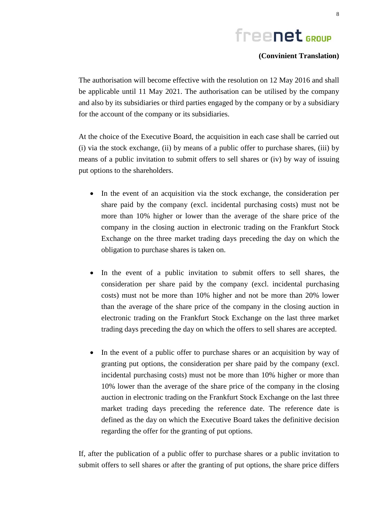## **(Convinient Translation)**

The authorisation will become effective with the resolution on 12 May 2016 and shall be applicable until 11 May 2021. The authorisation can be utilised by the company and also by its subsidiaries or third parties engaged by the company or by a subsidiary for the account of the company or its subsidiaries.

At the choice of the Executive Board, the acquisition in each case shall be carried out (i) via the stock exchange, (ii) by means of a public offer to purchase shares, (iii) by means of a public invitation to submit offers to sell shares or (iv) by way of issuing put options to the shareholders.

- In the event of an acquisition via the stock exchange, the consideration per share paid by the company (excl. incidental purchasing costs) must not be more than 10% higher or lower than the average of the share price of the company in the closing auction in electronic trading on the Frankfurt Stock Exchange on the three market trading days preceding the day on which the obligation to purchase shares is taken on.
- In the event of a public invitation to submit offers to sell shares, the consideration per share paid by the company (excl. incidental purchasing costs) must not be more than 10% higher and not be more than 20% lower than the average of the share price of the company in the closing auction in electronic trading on the Frankfurt Stock Exchange on the last three market trading days preceding the day on which the offers to sell shares are accepted.
- In the event of a public offer to purchase shares or an acquisition by way of granting put options, the consideration per share paid by the company (excl. incidental purchasing costs) must not be more than 10% higher or more than 10% lower than the average of the share price of the company in the closing auction in electronic trading on the Frankfurt Stock Exchange on the last three market trading days preceding the reference date. The reference date is defined as the day on which the Executive Board takes the definitive decision regarding the offer for the granting of put options.

If, after the publication of a public offer to purchase shares or a public invitation to submit offers to sell shares or after the granting of put options, the share price differs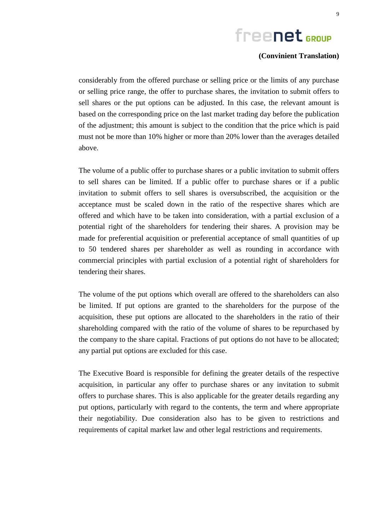## **(Convinient Translation)**

considerably from the offered purchase or selling price or the limits of any purchase or selling price range, the offer to purchase shares, the invitation to submit offers to sell shares or the put options can be adjusted. In this case, the relevant amount is based on the corresponding price on the last market trading day before the publication of the adjustment; this amount is subject to the condition that the price which is paid must not be more than 10% higher or more than 20% lower than the averages detailed above.

The volume of a public offer to purchase shares or a public invitation to submit offers to sell shares can be limited. If a public offer to purchase shares or if a public invitation to submit offers to sell shares is oversubscribed, the acquisition or the acceptance must be scaled down in the ratio of the respective shares which are offered and which have to be taken into consideration, with a partial exclusion of a potential right of the shareholders for tendering their shares. A provision may be made for preferential acquisition or preferential acceptance of small quantities of up to 50 tendered shares per shareholder as well as rounding in accordance with commercial principles with partial exclusion of a potential right of shareholders for tendering their shares.

The volume of the put options which overall are offered to the shareholders can also be limited. If put options are granted to the shareholders for the purpose of the acquisition, these put options are allocated to the shareholders in the ratio of their shareholding compared with the ratio of the volume of shares to be repurchased by the company to the share capital. Fractions of put options do not have to be allocated; any partial put options are excluded for this case.

The Executive Board is responsible for defining the greater details of the respective acquisition, in particular any offer to purchase shares or any invitation to submit offers to purchase shares. This is also applicable for the greater details regarding any put options, particularly with regard to the contents, the term and where appropriate their negotiability. Due consideration also has to be given to restrictions and requirements of capital market law and other legal restrictions and requirements.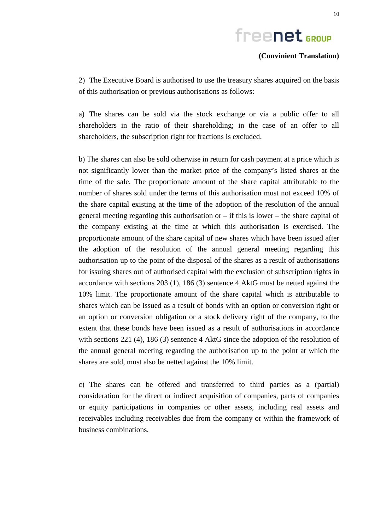### **(Convinient Translation)**

2) The Executive Board is authorised to use the treasury shares acquired on the basis of this authorisation or previous authorisations as follows:

a) The shares can be sold via the stock exchange or via a public offer to all shareholders in the ratio of their shareholding; in the case of an offer to all shareholders, the subscription right for fractions is excluded.

b) The shares can also be sold otherwise in return for cash payment at a price which is not significantly lower than the market price of the company's listed shares at the time of the sale. The proportionate amount of the share capital attributable to the number of shares sold under the terms of this authorisation must not exceed 10% of the share capital existing at the time of the adoption of the resolution of the annual general meeting regarding this authorisation or  $-$  if this is lower  $-$  the share capital of the company existing at the time at which this authorisation is exercised. The proportionate amount of the share capital of new shares which have been issued after the adoption of the resolution of the annual general meeting regarding this authorisation up to the point of the disposal of the shares as a result of authorisations for issuing shares out of authorised capital with the exclusion of subscription rights in accordance with sections 203 (1), 186 (3) sentence 4 AktG must be netted against the 10% limit. The proportionate amount of the share capital which is attributable to shares which can be issued as a result of bonds with an option or conversion right or an option or conversion obligation or a stock delivery right of the company, to the extent that these bonds have been issued as a result of authorisations in accordance with sections 221 (4), 186 (3) sentence 4 AktG since the adoption of the resolution of the annual general meeting regarding the authorisation up to the point at which the shares are sold, must also be netted against the 10% limit.

c) The shares can be offered and transferred to third parties as a (partial) consideration for the direct or indirect acquisition of companies, parts of companies or equity participations in companies or other assets, including real assets and receivables including receivables due from the company or within the framework of business combinations.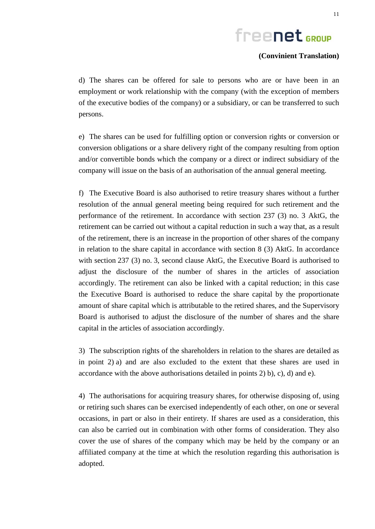### **(Convinient Translation)**

d) The shares can be offered for sale to persons who are or have been in an employment or work relationship with the company (with the exception of members of the executive bodies of the company) or a subsidiary, or can be transferred to such persons.

e) The shares can be used for fulfilling option or conversion rights or conversion or conversion obligations or a share delivery right of the company resulting from option and/or convertible bonds which the company or a direct or indirect subsidiary of the company will issue on the basis of an authorisation of the annual general meeting.

f) The Executive Board is also authorised to retire treasury shares without a further resolution of the annual general meeting being required for such retirement and the performance of the retirement. In accordance with section 237 (3) no. 3 AktG, the retirement can be carried out without a capital reduction in such a way that, as a result of the retirement, there is an increase in the proportion of other shares of the company in relation to the share capital in accordance with section 8 (3) AktG. In accordance with section 237 (3) no. 3, second clause AktG, the Executive Board is authorised to adjust the disclosure of the number of shares in the articles of association accordingly. The retirement can also be linked with a capital reduction; in this case the Executive Board is authorised to reduce the share capital by the proportionate amount of share capital which is attributable to the retired shares, and the Supervisory Board is authorised to adjust the disclosure of the number of shares and the share capital in the articles of association accordingly.

3) The subscription rights of the shareholders in relation to the shares are detailed as in point 2) a) and are also excluded to the extent that these shares are used in accordance with the above authorisations detailed in points  $(2)$  b), c), d) and e).

4) The authorisations for acquiring treasury shares, for otherwise disposing of, using or retiring such shares can be exercised independently of each other, on one or several occasions, in part or also in their entirety. If shares are used as a consideration, this can also be carried out in combination with other forms of consideration. They also cover the use of shares of the company which may be held by the company or an affiliated company at the time at which the resolution regarding this authorisation is adopted.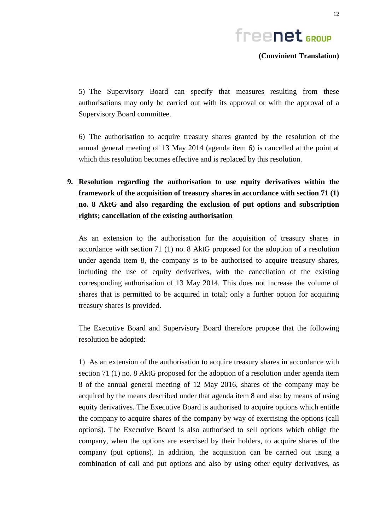

5) The Supervisory Board can specify that measures resulting from these authorisations may only be carried out with its approval or with the approval of a Supervisory Board committee.

6) The authorisation to acquire treasury shares granted by the resolution of the annual general meeting of 13 May 2014 (agenda item 6) is cancelled at the point at which this resolution becomes effective and is replaced by this resolution.

## **9. Resolution regarding the authorisation to use equity derivatives within the framework of the acquisition of treasury shares in accordance with section 71 (1) no. 8 AktG and also regarding the exclusion of put options and subscription rights; cancellation of the existing authorisation**

As an extension to the authorisation for the acquisition of treasury shares in accordance with section 71 (1) no. 8 AktG proposed for the adoption of a resolution under agenda item 8, the company is to be authorised to acquire treasury shares, including the use of equity derivatives, with the cancellation of the existing corresponding authorisation of 13 May 2014. This does not increase the volume of shares that is permitted to be acquired in total; only a further option for acquiring treasury shares is provided.

The Executive Board and Supervisory Board therefore propose that the following resolution be adopted:

1) As an extension of the authorisation to acquire treasury shares in accordance with section 71 (1) no. 8 AktG proposed for the adoption of a resolution under agenda item 8 of the annual general meeting of 12 May 2016, shares of the company may be acquired by the means described under that agenda item 8 and also by means of using equity derivatives. The Executive Board is authorised to acquire options which entitle the company to acquire shares of the company by way of exercising the options (call options). The Executive Board is also authorised to sell options which oblige the company, when the options are exercised by their holders, to acquire shares of the company (put options). In addition, the acquisition can be carried out using a combination of call and put options and also by using other equity derivatives, as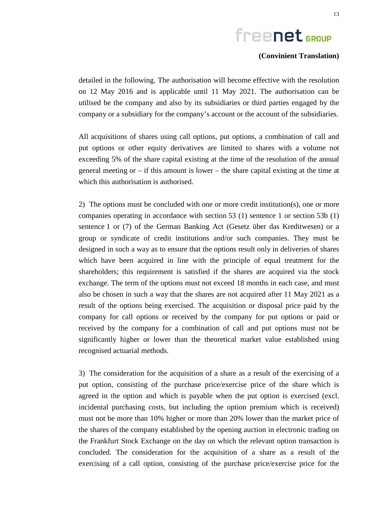### **(Convinient Translation)**

detailed in the following. The authorisation will become effective with the resolution on 12 May 2016 and is applicable until 11 May 2021. The authorisation can be utilised be the company and also by its subsidiaries or third parties engaged by the company or a subsidiary for the company's account or the account of the subsidiaries.

All acquisitions of shares using call options, put options, a combination of call and put options or other equity derivatives are limited to shares with a volume not exceeding 5% of the share capital existing at the time of the resolution of the annual general meeting or – if this amount is lower – the share capital existing at the time at which this authorisation is authorised.

2) The options must be concluded with one or more credit institution(s), one or more companies operating in accordance with section 53 (1) sentence 1 or section 53b (1) sentence 1 or (7) of the German Banking Act (Gesetz über das Kreditwesen) or a group or syndicate of credit institutions and/or such companies. They must be designed in such a way as to ensure that the options result only in deliveries of shares which have been acquired in line with the principle of equal treatment for the shareholders; this requirement is satisfied if the shares are acquired via the stock exchange. The term of the options must not exceed 18 months in each case, and must also be chosen in such a way that the shares are not acquired after 11 May 2021 as a result of the options being exercised. The acquisition or disposal price paid by the company for call options or received by the company for put options or paid or received by the company for a combination of call and put options must not be significantly higher or lower than the theoretical market value established using recognised actuarial methods.

3) The consideration for the acquisition of a share as a result of the exercising of a put option, consisting of the purchase price/exercise price of the share which is agreed in the option and which is payable when the put option is exercised (excl. incidental purchasing costs, but including the option premium which is received) must not be more than 10% higher or more than 20% lower than the market price of the shares of the company established by the opening auction in electronic trading on the Frankfurt Stock Exchange on the day on which the relevant option transaction is concluded. The consideration for the acquisition of a share as a result of the exercising of a call option, consisting of the purchase price/exercise price for the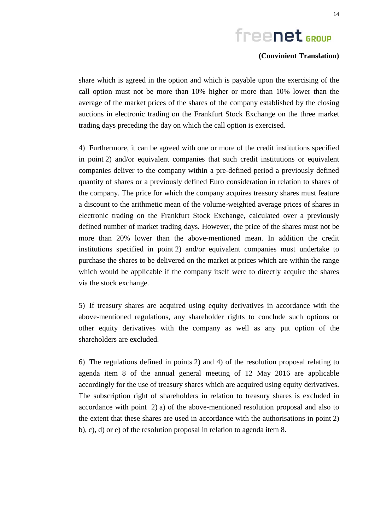### **(Convinient Translation)**

share which is agreed in the option and which is payable upon the exercising of the call option must not be more than 10% higher or more than 10% lower than the average of the market prices of the shares of the company established by the closing auctions in electronic trading on the Frankfurt Stock Exchange on the three market trading days preceding the day on which the call option is exercised.

4) Furthermore, it can be agreed with one or more of the credit institutions specified in point 2) and/or equivalent companies that such credit institutions or equivalent companies deliver to the company within a pre-defined period a previously defined quantity of shares or a previously defined Euro consideration in relation to shares of the company. The price for which the company acquires treasury shares must feature a discount to the arithmetic mean of the volume-weighted average prices of shares in electronic trading on the Frankfurt Stock Exchange, calculated over a previously defined number of market trading days. However, the price of the shares must not be more than 20% lower than the above-mentioned mean. In addition the credit institutions specified in point 2) and/or equivalent companies must undertake to purchase the shares to be delivered on the market at prices which are within the range which would be applicable if the company itself were to directly acquire the shares via the stock exchange.

5) If treasury shares are acquired using equity derivatives in accordance with the above-mentioned regulations, any shareholder rights to conclude such options or other equity derivatives with the company as well as any put option of the shareholders are excluded.

6) The regulations defined in points 2) and 4) of the resolution proposal relating to agenda item 8 of the annual general meeting of 12 May 2016 are applicable accordingly for the use of treasury shares which are acquired using equity derivatives. The subscription right of shareholders in relation to treasury shares is excluded in accordance with point 2) a) of the above-mentioned resolution proposal and also to the extent that these shares are used in accordance with the authorisations in point 2) b), c), d) or e) of the resolution proposal in relation to agenda item 8.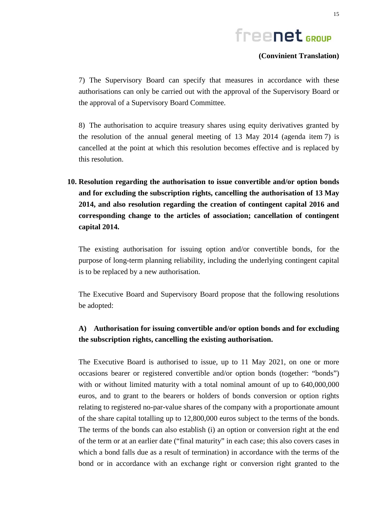### **(Convinient Translation)**

7) The Supervisory Board can specify that measures in accordance with these authorisations can only be carried out with the approval of the Supervisory Board or the approval of a Supervisory Board Committee.

8) The authorisation to acquire treasury shares using equity derivatives granted by the resolution of the annual general meeting of 13 May 2014 (agenda item 7) is cancelled at the point at which this resolution becomes effective and is replaced by this resolution.

**10. Resolution regarding the authorisation to issue convertible and/or option bonds and for excluding the subscription rights, cancelling the authorisation of 13 May 2014, and also resolution regarding the creation of contingent capital 2016 and corresponding change to the articles of association; cancellation of contingent capital 2014.**

The existing authorisation for issuing option and/or convertible bonds, for the purpose of long-term planning reliability, including the underlying contingent capital is to be replaced by a new authorisation.

The Executive Board and Supervisory Board propose that the following resolutions be adopted:

## **A) Authorisation for issuing convertible and/or option bonds and for excluding the subscription rights, cancelling the existing authorisation.**

The Executive Board is authorised to issue, up to 11 May 2021, on one or more occasions bearer or registered convertible and/or option bonds (together: "bonds") with or without limited maturity with a total nominal amount of up to 640,000,000 euros, and to grant to the bearers or holders of bonds conversion or option rights relating to registered no-par-value shares of the company with a proportionate amount of the share capital totalling up to 12,800,000 euros subject to the terms of the bonds. The terms of the bonds can also establish (i) an option or conversion right at the end of the term or at an earlier date ("final maturity" in each case; this also covers cases in which a bond falls due as a result of termination) in accordance with the terms of the bond or in accordance with an exchange right or conversion right granted to the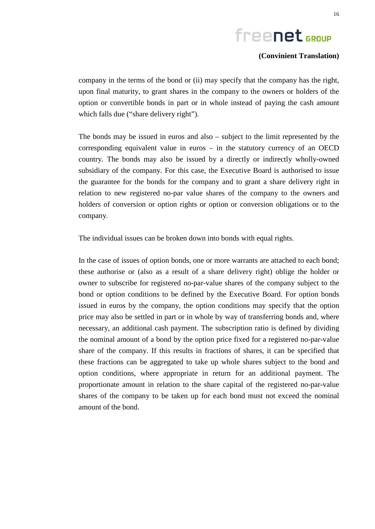## **(Convinient Translation)**

company in the terms of the bond or (ii) may specify that the company has the right, upon final maturity, to grant shares in the company to the owners or holders of the option or convertible bonds in part or in whole instead of paying the cash amount which falls due ("share delivery right").

The bonds may be issued in euros and also – subject to the limit represented by the corresponding equivalent value in euros – in the statutory currency of an OECD country. The bonds may also be issued by a directly or indirectly wholly-owned subsidiary of the company. For this case, the Executive Board is authorised to issue the guarantee for the bonds for the company and to grant a share delivery right in relation to new registered no-par value shares of the company to the owners and holders of conversion or option rights or option or conversion obligations or to the company.

The individual issues can be broken down into bonds with equal rights.

In the case of issues of option bonds, one or more warrants are attached to each bond; these authorise or (also as a result of a share delivery right) oblige the holder or owner to subscribe for registered no-par-value shares of the company subject to the bond or option conditions to be defined by the Executive Board. For option bonds issued in euros by the company, the option conditions may specify that the option price may also be settled in part or in whole by way of transferring bonds and, where necessary, an additional cash payment. The subscription ratio is defined by dividing the nominal amount of a bond by the option price fixed for a registered no-par-value share of the company. If this results in fractions of shares, it can be specified that these fractions can be aggregated to take up whole shares subject to the bond and option conditions, where appropriate in return for an additional payment. The proportionate amount in relation to the share capital of the registered no-par-value shares of the company to be taken up for each bond must not exceed the nominal amount of the bond.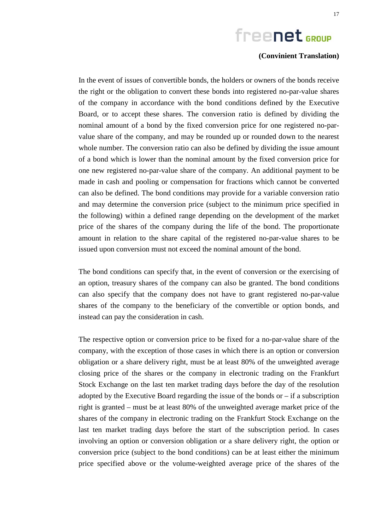#### **(Convinient Translation)**

In the event of issues of convertible bonds, the holders or owners of the bonds receive the right or the obligation to convert these bonds into registered no-par-value shares of the company in accordance with the bond conditions defined by the Executive Board, or to accept these shares. The conversion ratio is defined by dividing the nominal amount of a bond by the fixed conversion price for one registered no-parvalue share of the company, and may be rounded up or rounded down to the nearest whole number. The conversion ratio can also be defined by dividing the issue amount of a bond which is lower than the nominal amount by the fixed conversion price for one new registered no-par-value share of the company. An additional payment to be made in cash and pooling or compensation for fractions which cannot be converted can also be defined. The bond conditions may provide for a variable conversion ratio and may determine the conversion price (subject to the minimum price specified in the following) within a defined range depending on the development of the market price of the shares of the company during the life of the bond. The proportionate amount in relation to the share capital of the registered no-par-value shares to be issued upon conversion must not exceed the nominal amount of the bond.

The bond conditions can specify that, in the event of conversion or the exercising of an option, treasury shares of the company can also be granted. The bond conditions can also specify that the company does not have to grant registered no-par-value shares of the company to the beneficiary of the convertible or option bonds, and instead can pay the consideration in cash.

The respective option or conversion price to be fixed for a no-par-value share of the company, with the exception of those cases in which there is an option or conversion obligation or a share delivery right, must be at least 80% of the unweighted average closing price of the shares or the company in electronic trading on the Frankfurt Stock Exchange on the last ten market trading days before the day of the resolution adopted by the Executive Board regarding the issue of the bonds or – if a subscription right is granted – must be at least 80% of the unweighted average market price of the shares of the company in electronic trading on the Frankfurt Stock Exchange on the last ten market trading days before the start of the subscription period. In cases involving an option or conversion obligation or a share delivery right, the option or conversion price (subject to the bond conditions) can be at least either the minimum price specified above or the volume-weighted average price of the shares of the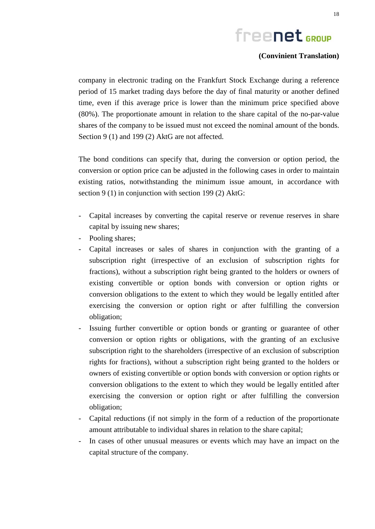## **(Convinient Translation)**

company in electronic trading on the Frankfurt Stock Exchange during a reference period of 15 market trading days before the day of final maturity or another defined time, even if this average price is lower than the minimum price specified above (80%). The proportionate amount in relation to the share capital of the no-par-value shares of the company to be issued must not exceed the nominal amount of the bonds. Section 9 (1) and 199 (2) AktG are not affected.

The bond conditions can specify that, during the conversion or option period, the conversion or option price can be adjusted in the following cases in order to maintain existing ratios, notwithstanding the minimum issue amount, in accordance with section 9 (1) in conjunction with section 199 (2) AktG:

- Capital increases by converting the capital reserve or revenue reserves in share capital by issuing new shares;
- Pooling shares;
- Capital increases or sales of shares in conjunction with the granting of a subscription right (irrespective of an exclusion of subscription rights for fractions), without a subscription right being granted to the holders or owners of existing convertible or option bonds with conversion or option rights or conversion obligations to the extent to which they would be legally entitled after exercising the conversion or option right or after fulfilling the conversion obligation;
- Issuing further convertible or option bonds or granting or guarantee of other conversion or option rights or obligations, with the granting of an exclusive subscription right to the shareholders (irrespective of an exclusion of subscription rights for fractions), without a subscription right being granted to the holders or owners of existing convertible or option bonds with conversion or option rights or conversion obligations to the extent to which they would be legally entitled after exercising the conversion or option right or after fulfilling the conversion obligation;
- Capital reductions (if not simply in the form of a reduction of the proportionate amount attributable to individual shares in relation to the share capital;
- In cases of other unusual measures or events which may have an impact on the capital structure of the company.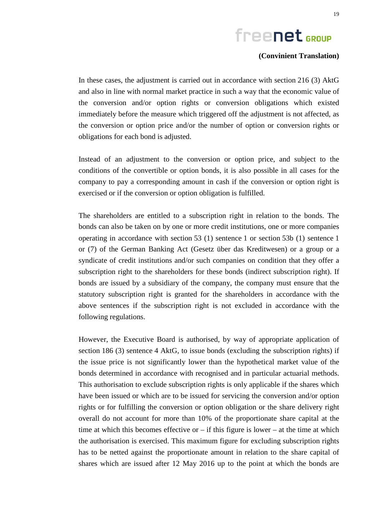### **(Convinient Translation)**

In these cases, the adjustment is carried out in accordance with section 216 (3) AktG and also in line with normal market practice in such a way that the economic value of the conversion and/or option rights or conversion obligations which existed immediately before the measure which triggered off the adjustment is not affected, as the conversion or option price and/or the number of option or conversion rights or obligations for each bond is adjusted.

Instead of an adjustment to the conversion or option price, and subject to the conditions of the convertible or option bonds, it is also possible in all cases for the company to pay a corresponding amount in cash if the conversion or option right is exercised or if the conversion or option obligation is fulfilled.

The shareholders are entitled to a subscription right in relation to the bonds. The bonds can also be taken on by one or more credit institutions, one or more companies operating in accordance with section 53 (1) sentence 1 or section 53b (1) sentence 1 or (7) of the German Banking Act (Gesetz über das Kreditwesen) or a group or a syndicate of credit institutions and/or such companies on condition that they offer a subscription right to the shareholders for these bonds (indirect subscription right). If bonds are issued by a subsidiary of the company, the company must ensure that the statutory subscription right is granted for the shareholders in accordance with the above sentences if the subscription right is not excluded in accordance with the following regulations.

However, the Executive Board is authorised, by way of appropriate application of section 186 (3) sentence 4 AktG, to issue bonds (excluding the subscription rights) if the issue price is not significantly lower than the hypothetical market value of the bonds determined in accordance with recognised and in particular actuarial methods. This authorisation to exclude subscription rights is only applicable if the shares which have been issued or which are to be issued for servicing the conversion and/or option rights or for fulfilling the conversion or option obligation or the share delivery right overall do not account for more than 10% of the proportionate share capital at the time at which this becomes effective or  $-$  if this figure is lower  $-$  at the time at which the authorisation is exercised. This maximum figure for excluding subscription rights has to be netted against the proportionate amount in relation to the share capital of shares which are issued after 12 May 2016 up to the point at which the bonds are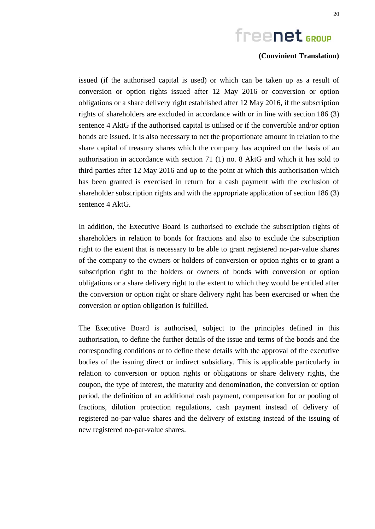issued (if the authorised capital is used) or which can be taken up as a result of conversion or option rights issued after 12 May 2016 or conversion or option obligations or a share delivery right established after 12 May 2016, if the subscription rights of shareholders are excluded in accordance with or in line with section 186 (3) sentence 4 AktG if the authorised capital is utilised or if the convertible and/or option bonds are issued. It is also necessary to net the proportionate amount in relation to the share capital of treasury shares which the company has acquired on the basis of an authorisation in accordance with section 71 (1) no. 8 AktG and which it has sold to third parties after 12 May 2016 and up to the point at which this authorisation which has been granted is exercised in return for a cash payment with the exclusion of shareholder subscription rights and with the appropriate application of section 186 (3) sentence 4 AktG.

In addition, the Executive Board is authorised to exclude the subscription rights of shareholders in relation to bonds for fractions and also to exclude the subscription right to the extent that is necessary to be able to grant registered no-par-value shares of the company to the owners or holders of conversion or option rights or to grant a subscription right to the holders or owners of bonds with conversion or option obligations or a share delivery right to the extent to which they would be entitled after the conversion or option right or share delivery right has been exercised or when the conversion or option obligation is fulfilled.

The Executive Board is authorised, subject to the principles defined in this authorisation, to define the further details of the issue and terms of the bonds and the corresponding conditions or to define these details with the approval of the executive bodies of the issuing direct or indirect subsidiary. This is applicable particularly in relation to conversion or option rights or obligations or share delivery rights, the coupon, the type of interest, the maturity and denomination, the conversion or option period, the definition of an additional cash payment, compensation for or pooling of fractions, dilution protection regulations, cash payment instead of delivery of registered no-par-value shares and the delivery of existing instead of the issuing of new registered no-par-value shares.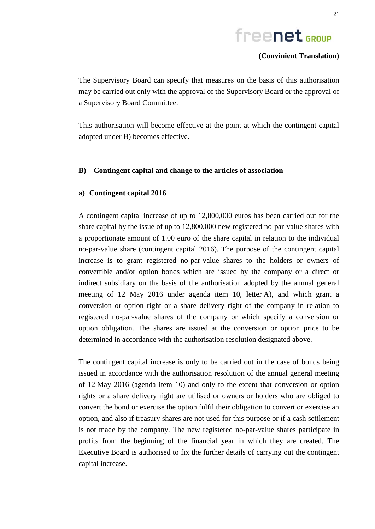## **(Convinient Translation)**

The Supervisory Board can specify that measures on the basis of this authorisation may be carried out only with the approval of the Supervisory Board or the approval of a Supervisory Board Committee.

This authorisation will become effective at the point at which the contingent capital adopted under B) becomes effective.

#### **B) Contingent capital and change to the articles of association**

#### **a) Contingent capital 2016**

A contingent capital increase of up to 12,800,000 euros has been carried out for the share capital by the issue of up to 12,800,000 new registered no-par-value shares with a proportionate amount of 1.00 euro of the share capital in relation to the individual no-par-value share (contingent capital 2016). The purpose of the contingent capital increase is to grant registered no-par-value shares to the holders or owners of convertible and/or option bonds which are issued by the company or a direct or indirect subsidiary on the basis of the authorisation adopted by the annual general meeting of 12 May 2016 under agenda item 10, letter A), and which grant a conversion or option right or a share delivery right of the company in relation to registered no-par-value shares of the company or which specify a conversion or option obligation. The shares are issued at the conversion or option price to be determined in accordance with the authorisation resolution designated above.

The contingent capital increase is only to be carried out in the case of bonds being issued in accordance with the authorisation resolution of the annual general meeting of 12 May 2016 (agenda item 10) and only to the extent that conversion or option rights or a share delivery right are utilised or owners or holders who are obliged to convert the bond or exercise the option fulfil their obligation to convert or exercise an option, and also if treasury shares are not used for this purpose or if a cash settlement is not made by the company. The new registered no-par-value shares participate in profits from the beginning of the financial year in which they are created. The Executive Board is authorised to fix the further details of carrying out the contingent capital increase.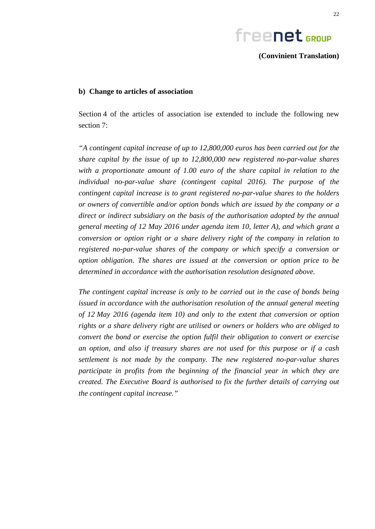

#### **b) Change to articles of association**

Section 4 of the articles of association ise extended to include the following new section 7:

*"A contingent capital increase of up to 12,800,000 euros has been carried out for the share capital by the issue of up to 12,800,000 new registered no-par-value shares*  with a proportionate amount of 1.00 euro of the share capital in relation to the *individual no-par-value share (contingent capital 2016). The purpose of the contingent capital increase is to grant registered no-par-value shares to the holders or owners of convertible and/or option bonds which are issued by the company or a direct or indirect subsidiary on the basis of the authorisation adopted by the annual general meeting of 12 May 2016 under agenda item 10, letter A), and which grant a conversion or option right or a share delivery right of the company in relation to registered no-par-value shares of the company or which specify a conversion or option obligation. The shares are issued at the conversion or option price to be determined in accordance with the authorisation resolution designated above.*

*The contingent capital increase is only to be carried out in the case of bonds being issued in accordance with the authorisation resolution of the annual general meeting of 12 May 2016 (agenda item 10) and only to the extent that conversion or option rights or a share delivery right are utilised or owners or holders who are obliged to convert the bond or exercise the option fulfil their obligation to convert or exercise an option, and also if treasury shares are not used for this purpose or if a cash settlement is not made by the company. The new registered no-par-value shares participate in profits from the beginning of the financial year in which they are created. The Executive Board is authorised to fix the further details of carrying out the contingent capital increase."*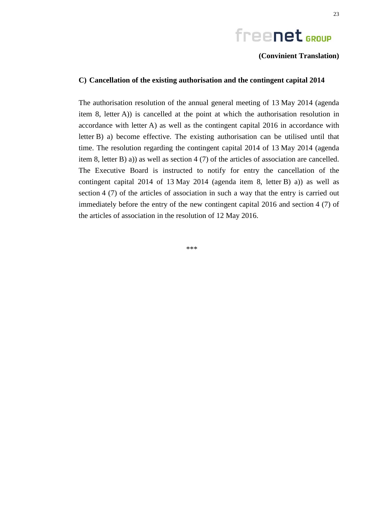#### **C) Cancellation of the existing authorisation and the contingent capital 2014**

The authorisation resolution of the annual general meeting of 13 May 2014 (agenda item 8, letter A)) is cancelled at the point at which the authorisation resolution in accordance with letter A) as well as the contingent capital 2016 in accordance with letter B) a) become effective. The existing authorisation can be utilised until that time. The resolution regarding the contingent capital 2014 of 13 May 2014 (agenda item 8, letter B) a)) as well as section 4 (7) of the articles of association are cancelled. The Executive Board is instructed to notify for entry the cancellation of the contingent capital 2014 of 13 May 2014 (agenda item 8, letter B) a)) as well as section 4 (7) of the articles of association in such a way that the entry is carried out immediately before the entry of the new contingent capital 2016 and section 4 (7) of the articles of association in the resolution of 12 May 2016.

\*\*\*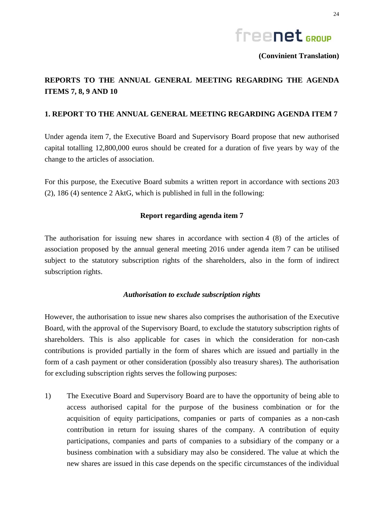

## **REPORTS TO THE ANNUAL GENERAL MEETING REGARDING THE AGENDA ITEMS 7, 8, 9 AND 10**

## **1. REPORT TO THE ANNUAL GENERAL MEETING REGARDING AGENDA ITEM 7**

Under agenda item 7, the Executive Board and Supervisory Board propose that new authorised capital totalling 12,800,000 euros should be created for a duration of five years by way of the change to the articles of association.

For this purpose, the Executive Board submits a written report in accordance with sections 203 (2), 186 (4) sentence 2 AktG, which is published in full in the following:

### **Report regarding agenda item 7**

The authorisation for issuing new shares in accordance with section 4 (8) of the articles of association proposed by the annual general meeting 2016 under agenda item 7 can be utilised subject to the statutory subscription rights of the shareholders, also in the form of indirect subscription rights.

### *Authorisation to exclude subscription rights*

However, the authorisation to issue new shares also comprises the authorisation of the Executive Board, with the approval of the Supervisory Board, to exclude the statutory subscription rights of shareholders. This is also applicable for cases in which the consideration for non-cash contributions is provided partially in the form of shares which are issued and partially in the form of a cash payment or other consideration (possibly also treasury shares). The authorisation for excluding subscription rights serves the following purposes:

1) The Executive Board and Supervisory Board are to have the opportunity of being able to access authorised capital for the purpose of the business combination or for the acquisition of equity participations, companies or parts of companies as a non-cash contribution in return for issuing shares of the company. A contribution of equity participations, companies and parts of companies to a subsidiary of the company or a business combination with a subsidiary may also be considered. The value at which the new shares are issued in this case depends on the specific circumstances of the individual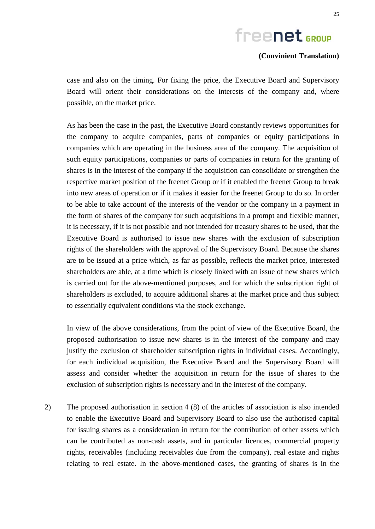### **(Convinient Translation)**

case and also on the timing. For fixing the price, the Executive Board and Supervisory Board will orient their considerations on the interests of the company and, where possible, on the market price.

As has been the case in the past, the Executive Board constantly reviews opportunities for the company to acquire companies, parts of companies or equity participations in companies which are operating in the business area of the company. The acquisition of such equity participations, companies or parts of companies in return for the granting of shares is in the interest of the company if the acquisition can consolidate or strengthen the respective market position of the freenet Group or if it enabled the freenet Group to break into new areas of operation or if it makes it easier for the freenet Group to do so. In order to be able to take account of the interests of the vendor or the company in a payment in the form of shares of the company for such acquisitions in a prompt and flexible manner, it is necessary, if it is not possible and not intended for treasury shares to be used, that the Executive Board is authorised to issue new shares with the exclusion of subscription rights of the shareholders with the approval of the Supervisory Board. Because the shares are to be issued at a price which, as far as possible, reflects the market price, interested shareholders are able, at a time which is closely linked with an issue of new shares which is carried out for the above-mentioned purposes, and for which the subscription right of shareholders is excluded, to acquire additional shares at the market price and thus subject to essentially equivalent conditions via the stock exchange.

In view of the above considerations, from the point of view of the Executive Board, the proposed authorisation to issue new shares is in the interest of the company and may justify the exclusion of shareholder subscription rights in individual cases. Accordingly, for each individual acquisition, the Executive Board and the Supervisory Board will assess and consider whether the acquisition in return for the issue of shares to the exclusion of subscription rights is necessary and in the interest of the company.

2) The proposed authorisation in section 4 (8) of the articles of association is also intended to enable the Executive Board and Supervisory Board to also use the authorised capital for issuing shares as a consideration in return for the contribution of other assets which can be contributed as non-cash assets, and in particular licences, commercial property rights, receivables (including receivables due from the company), real estate and rights relating to real estate. In the above-mentioned cases, the granting of shares is in the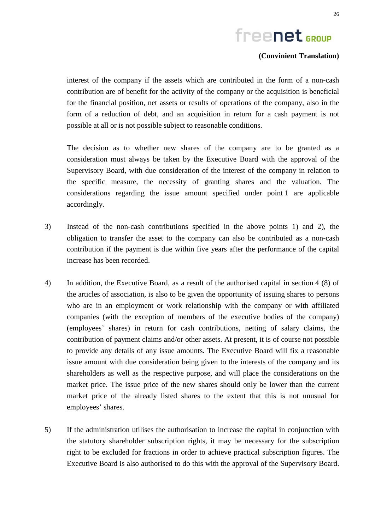## **(Convinient Translation)**

interest of the company if the assets which are contributed in the form of a non-cash contribution are of benefit for the activity of the company or the acquisition is beneficial for the financial position, net assets or results of operations of the company, also in the form of a reduction of debt, and an acquisition in return for a cash payment is not possible at all or is not possible subject to reasonable conditions.

The decision as to whether new shares of the company are to be granted as a consideration must always be taken by the Executive Board with the approval of the Supervisory Board, with due consideration of the interest of the company in relation to the specific measure, the necessity of granting shares and the valuation. The considerations regarding the issue amount specified under point 1 are applicable accordingly.

- 3) Instead of the non-cash contributions specified in the above points 1) and 2), the obligation to transfer the asset to the company can also be contributed as a non-cash contribution if the payment is due within five years after the performance of the capital increase has been recorded.
- 4) In addition, the Executive Board, as a result of the authorised capital in section 4 (8) of the articles of association, is also to be given the opportunity of issuing shares to persons who are in an employment or work relationship with the company or with affiliated companies (with the exception of members of the executive bodies of the company) (employees' shares) in return for cash contributions, netting of salary claims, the contribution of payment claims and/or other assets. At present, it is of course not possible to provide any details of any issue amounts. The Executive Board will fix a reasonable issue amount with due consideration being given to the interests of the company and its shareholders as well as the respective purpose, and will place the considerations on the market price. The issue price of the new shares should only be lower than the current market price of the already listed shares to the extent that this is not unusual for employees' shares.
- 5) If the administration utilises the authorisation to increase the capital in conjunction with the statutory shareholder subscription rights, it may be necessary for the subscription right to be excluded for fractions in order to achieve practical subscription figures. The Executive Board is also authorised to do this with the approval of the Supervisory Board.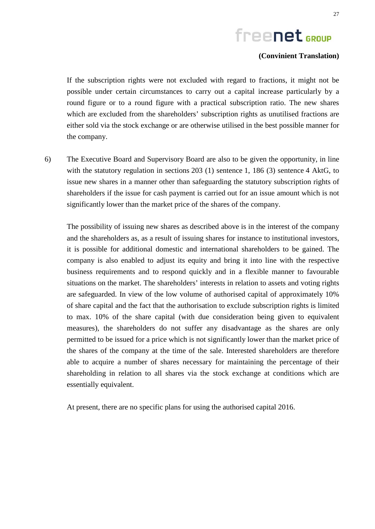### **(Convinient Translation)**

If the subscription rights were not excluded with regard to fractions, it might not be possible under certain circumstances to carry out a capital increase particularly by a round figure or to a round figure with a practical subscription ratio. The new shares which are excluded from the shareholders' subscription rights as unutilised fractions are either sold via the stock exchange or are otherwise utilised in the best possible manner for the company.

6) The Executive Board and Supervisory Board are also to be given the opportunity, in line with the statutory regulation in sections 203 (1) sentence 1, 186 (3) sentence 4 AktG, to issue new shares in a manner other than safeguarding the statutory subscription rights of shareholders if the issue for cash payment is carried out for an issue amount which is not significantly lower than the market price of the shares of the company.

The possibility of issuing new shares as described above is in the interest of the company and the shareholders as, as a result of issuing shares for instance to institutional investors, it is possible for additional domestic and international shareholders to be gained. The company is also enabled to adjust its equity and bring it into line with the respective business requirements and to respond quickly and in a flexible manner to favourable situations on the market. The shareholders' interests in relation to assets and voting rights are safeguarded. In view of the low volume of authorised capital of approximately 10% of share capital and the fact that the authorisation to exclude subscription rights is limited to max. 10% of the share capital (with due consideration being given to equivalent measures), the shareholders do not suffer any disadvantage as the shares are only permitted to be issued for a price which is not significantly lower than the market price of the shares of the company at the time of the sale. Interested shareholders are therefore able to acquire a number of shares necessary for maintaining the percentage of their shareholding in relation to all shares via the stock exchange at conditions which are essentially equivalent.

At present, there are no specific plans for using the authorised capital 2016.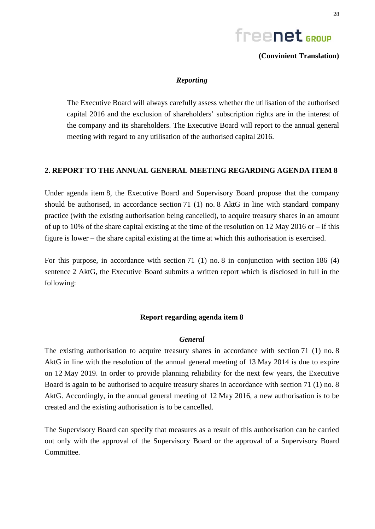

#### *Reporting*

The Executive Board will always carefully assess whether the utilisation of the authorised capital 2016 and the exclusion of shareholders' subscription rights are in the interest of the company and its shareholders. The Executive Board will report to the annual general meeting with regard to any utilisation of the authorised capital 2016.

#### **2. REPORT TO THE ANNUAL GENERAL MEETING REGARDING AGENDA ITEM 8**

Under agenda item 8, the Executive Board and Supervisory Board propose that the company should be authorised, in accordance section 71 (1) no. 8 AktG in line with standard company practice (with the existing authorisation being cancelled), to acquire treasury shares in an amount of up to 10% of the share capital existing at the time of the resolution on 12 May 2016 or – if this figure is lower – the share capital existing at the time at which this authorisation is exercised.

For this purpose, in accordance with section 71 (1) no. 8 in conjunction with section 186 (4) sentence 2 AktG, the Executive Board submits a written report which is disclosed in full in the following:

#### **Report regarding agenda item 8**

#### *General*

The existing authorisation to acquire treasury shares in accordance with section 71 (1) no. 8 AktG in line with the resolution of the annual general meeting of 13 May 2014 is due to expire on 12 May 2019. In order to provide planning reliability for the next few years, the Executive Board is again to be authorised to acquire treasury shares in accordance with section 71 (1) no. 8 AktG. Accordingly, in the annual general meeting of 12 May 2016, a new authorisation is to be created and the existing authorisation is to be cancelled.

The Supervisory Board can specify that measures as a result of this authorisation can be carried out only with the approval of the Supervisory Board or the approval of a Supervisory Board Committee.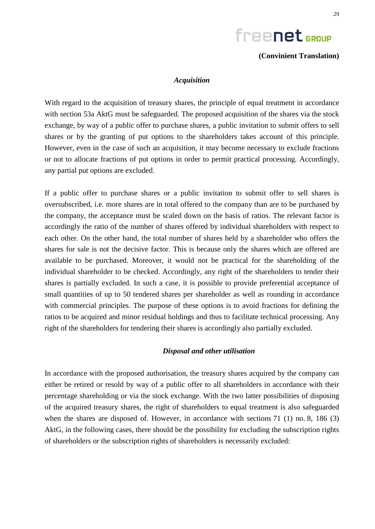

#### *Acquisition*

With regard to the acquisition of treasury shares, the principle of equal treatment in accordance with section 53a AktG must be safeguarded. The proposed acquisition of the shares via the stock exchange, by way of a public offer to purchase shares, a public invitation to submit offers to sell shares or by the granting of put options to the shareholders takes account of this principle. However, even in the case of such an acquisition, it may become necessary to exclude fractions or not to allocate fractions of put options in order to permit practical processing. Accordingly, any partial put options are excluded.

If a public offer to purchase shares or a public invitation to submit offer to sell shares is oversubscribed, i.e. more shares are in total offered to the company than are to be purchased by the company, the acceptance must be scaled down on the basis of ratios. The relevant factor is accordingly the ratio of the number of shares offered by individual shareholders with respect to each other. On the other hand, the total number of shares held by a shareholder who offers the shares for sale is not the decisive factor. This is because only the shares which are offered are available to be purchased. Moreover, it would not be practical for the shareholding of the individual shareholder to be checked. Accordingly, any right of the shareholders to tender their shares is partially excluded. In such a case, it is possible to provide preferential acceptance of small quantities of up to 50 tendered shares per shareholder as well as rounding in accordance with commercial principles. The purpose of these options is to avoid fractions for defining the ratios to be acquired and minor residual holdings and thus to facilitate technical processing. Any right of the shareholders for tendering their shares is accordingly also partially excluded.

#### *Disposal and other utilisation*

In accordance with the proposed authorisation, the treasury shares acquired by the company can either be retired or resold by way of a public offer to all shareholders in accordance with their percentage shareholding or via the stock exchange. With the two latter possibilities of disposing of the acquired treasury shares, the right of shareholders to equal treatment is also safeguarded when the shares are disposed of. However, in accordance with sections 71 (1) no. 8, 186 (3) AktG, in the following cases, there should be the possibility for excluding the subscription rights of shareholders or the subscription rights of shareholders is necessarily excluded: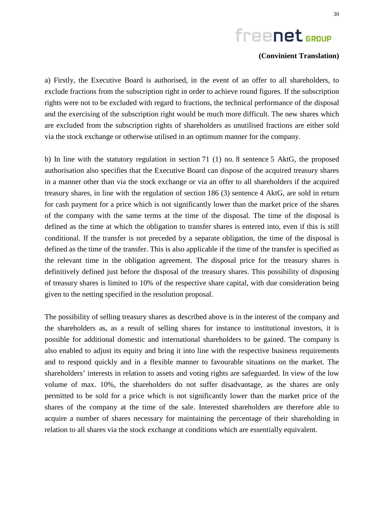### **(Convinient Translation)**

a) Firstly, the Executive Board is authorised, in the event of an offer to all shareholders, to exclude fractions from the subscription right in order to achieve round figures. If the subscription rights were not to be excluded with regard to fractions, the technical performance of the disposal and the exercising of the subscription right would be much more difficult. The new shares which are excluded from the subscription rights of shareholders as unutilised fractions are either sold via the stock exchange or otherwise utilised in an optimum manner for the company.

b) In line with the statutory regulation in section 71 (1) no. 8 sentence 5 AktG, the proposed authorisation also specifies that the Executive Board can dispose of the acquired treasury shares in a manner other than via the stock exchange or via an offer to all shareholders if the acquired treasury shares, in line with the regulation of section 186 (3) sentence 4 AktG, are sold in return for cash payment for a price which is not significantly lower than the market price of the shares of the company with the same terms at the time of the disposal. The time of the disposal is defined as the time at which the obligation to transfer shares is entered into, even if this is still conditional. If the transfer is not preceded by a separate obligation, the time of the disposal is defined as the time of the transfer. This is also applicable if the time of the transfer is specified as the relevant time in the obligation agreement. The disposal price for the treasury shares is definitively defined just before the disposal of the treasury shares. This possibility of disposing of treasury shares is limited to 10% of the respective share capital, with due consideration being given to the netting specified in the resolution proposal.

The possibility of selling treasury shares as described above is in the interest of the company and the shareholders as, as a result of selling shares for instance to institutional investors, it is possible for additional domestic and international shareholders to be gained. The company is also enabled to adjust its equity and bring it into line with the respective business requirements and to respond quickly and in a flexible manner to favourable situations on the market. The shareholders' interests in relation to assets and voting rights are safeguarded. In view of the low volume of max. 10%, the shareholders do not suffer disadvantage, as the shares are only permitted to be sold for a price which is not significantly lower than the market price of the shares of the company at the time of the sale. Interested shareholders are therefore able to acquire a number of shares necessary for maintaining the percentage of their shareholding in relation to all shares via the stock exchange at conditions which are essentially equivalent.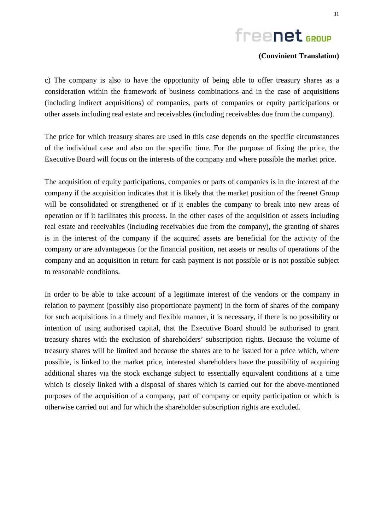## **(Convinient Translation)**

c) The company is also to have the opportunity of being able to offer treasury shares as a consideration within the framework of business combinations and in the case of acquisitions (including indirect acquisitions) of companies, parts of companies or equity participations or other assets including real estate and receivables (including receivables due from the company).

The price for which treasury shares are used in this case depends on the specific circumstances of the individual case and also on the specific time. For the purpose of fixing the price, the Executive Board will focus on the interests of the company and where possible the market price.

The acquisition of equity participations, companies or parts of companies is in the interest of the company if the acquisition indicates that it is likely that the market position of the freenet Group will be consolidated or strengthened or if it enables the company to break into new areas of operation or if it facilitates this process. In the other cases of the acquisition of assets including real estate and receivables (including receivables due from the company), the granting of shares is in the interest of the company if the acquired assets are beneficial for the activity of the company or are advantageous for the financial position, net assets or results of operations of the company and an acquisition in return for cash payment is not possible or is not possible subject to reasonable conditions.

In order to be able to take account of a legitimate interest of the vendors or the company in relation to payment (possibly also proportionate payment) in the form of shares of the company for such acquisitions in a timely and flexible manner, it is necessary, if there is no possibility or intention of using authorised capital, that the Executive Board should be authorised to grant treasury shares with the exclusion of shareholders' subscription rights. Because the volume of treasury shares will be limited and because the shares are to be issued for a price which, where possible, is linked to the market price, interested shareholders have the possibility of acquiring additional shares via the stock exchange subject to essentially equivalent conditions at a time which is closely linked with a disposal of shares which is carried out for the above-mentioned purposes of the acquisition of a company, part of company or equity participation or which is otherwise carried out and for which the shareholder subscription rights are excluded.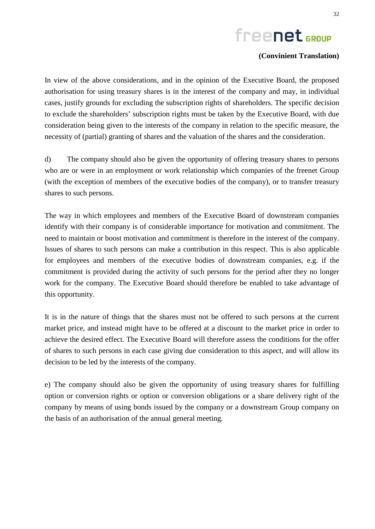## **(Convinient Translation)**

In view of the above considerations, and in the opinion of the Executive Board, the proposed authorisation for using treasury shares is in the interest of the company and may, in individual cases, justify grounds for excluding the subscription rights of shareholders. The specific decision to exclude the shareholders' subscription rights must be taken by the Executive Board, with due consideration being given to the interests of the company in relation to the specific measure, the necessity of (partial) granting of shares and the valuation of the shares and the consideration.

d) The company should also be given the opportunity of offering treasury shares to persons who are or were in an employment or work relationship which companies of the freenet Group (with the exception of members of the executive bodies of the company), or to transfer treasury shares to such persons.

The way in which employees and members of the Executive Board of downstream companies identify with their company is of considerable importance for motivation and commitment. The need to maintain or boost motivation and commitment is therefore in the interest of the company. Issues of shares to such persons can make a contribution in this respect. This is also applicable for employees and members of the executive bodies of downstream companies, e.g. if the commitment is provided during the activity of such persons for the period after they no longer work for the company. The Executive Board should therefore be enabled to take advantage of this opportunity.

It is in the nature of things that the shares must not be offered to such persons at the current market price, and instead might have to be offered at a discount to the market price in order to achieve the desired effect. The Executive Board will therefore assess the conditions for the offer of shares to such persons in each case giving due consideration to this aspect, and will allow its decision to be led by the interests of the company.

e) The company should also be given the opportunity of using treasury shares for fulfilling option or conversion rights or option or conversion obligations or a share delivery right of the company by means of using bonds issued by the company or a downstream Group company on the basis of an authorisation of the annual general meeting.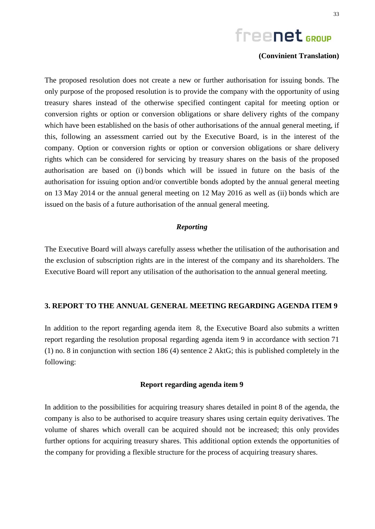The proposed resolution does not create a new or further authorisation for issuing bonds. The only purpose of the proposed resolution is to provide the company with the opportunity of using treasury shares instead of the otherwise specified contingent capital for meeting option or conversion rights or option or conversion obligations or share delivery rights of the company which have been established on the basis of other authorisations of the annual general meeting, if this, following an assessment carried out by the Executive Board, is in the interest of the company. Option or conversion rights or option or conversion obligations or share delivery rights which can be considered for servicing by treasury shares on the basis of the proposed authorisation are based on (i) bonds which will be issued in future on the basis of the authorisation for issuing option and/or convertible bonds adopted by the annual general meeting on 13 May 2014 or the annual general meeting on 12 May 2016 as well as (ii) bonds which are issued on the basis of a future authorisation of the annual general meeting.

#### *Reporting*

The Executive Board will always carefully assess whether the utilisation of the authorisation and the exclusion of subscription rights are in the interest of the company and its shareholders. The Executive Board will report any utilisation of the authorisation to the annual general meeting.

#### **3. REPORT TO THE ANNUAL GENERAL MEETING REGARDING AGENDA ITEM 9**

In addition to the report regarding agenda item 8, the Executive Board also submits a written report regarding the resolution proposal regarding agenda item 9 in accordance with section 71 (1) no. 8 in conjunction with section 186 (4) sentence 2 AktG; this is published completely in the following:

#### **Report regarding agenda item 9**

In addition to the possibilities for acquiring treasury shares detailed in point 8 of the agenda, the company is also to be authorised to acquire treasury shares using certain equity derivatives. The volume of shares which overall can be acquired should not be increased; this only provides further options for acquiring treasury shares. This additional option extends the opportunities of the company for providing a flexible structure for the process of acquiring treasury shares.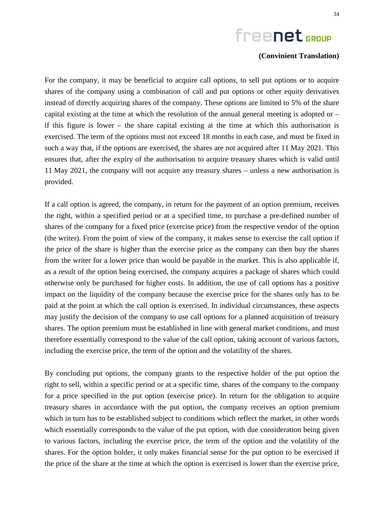For the company, it may be beneficial to acquire call options, to sell put options or to acquire shares of the company using a combination of call and put options or other equity derivatives instead of directly acquiring shares of the company. These options are limited to 5% of the share capital existing at the time at which the resolution of the annual general meeting is adopted or – if this figure is lower – the share capital existing at the time at which this authorisation is exercised. The term of the options must not exceed 18 months in each case, and must be fixed in such a way that, if the options are exercised, the shares are not acquired after 11 May 2021. This ensures that, after the expiry of the authorisation to acquire treasury shares which is valid until 11 May 2021, the company will not acquire any treasury shares – unless a new authorisation is provided.

If a call option is agreed, the company, in return for the payment of an option premium, receives the right, within a specified period or at a specified time, to purchase a pre-defined number of shares of the company for a fixed price (exercise price) from the respective vendor of the option (the writer). From the point of view of the company, it makes sense to exercise the call option if the price of the share is higher than the exercise price as the company can then buy the shares from the writer for a lower price than would be payable in the market. This is also applicable if, as a result of the option being exercised, the company acquires a package of shares which could otherwise only be purchased for higher costs. In addition, the use of call options has a positive impact on the liquidity of the company because the exercise price for the shares only has to be paid at the point at which the call option is exercised. In individual circumstances, these aspects may justify the decision of the company to use call options for a planned acquisition of treasury shares. The option premium must be established in line with general market conditions, and must therefore essentially correspond to the value of the call option, taking account of various factors, including the exercise price, the term of the option and the volatility of the shares.

By concluding put options, the company grants to the respective holder of the put option the right to sell, within a specific period or at a specific time, shares of the company to the company for a price specified in the put option (exercise price). In return for the obligation to acquire treasury shares in accordance with the put option, the company receives an option premium which in turn has to be established subject to conditions which reflect the market, in other words which essentially corresponds to the value of the put option, with due consideration being given to various factors, including the exercise price, the term of the option and the volatility of the shares. For the option holder, it only makes financial sense for the put option to be exercised if the price of the share at the time at which the option is exercised is lower than the exercise price,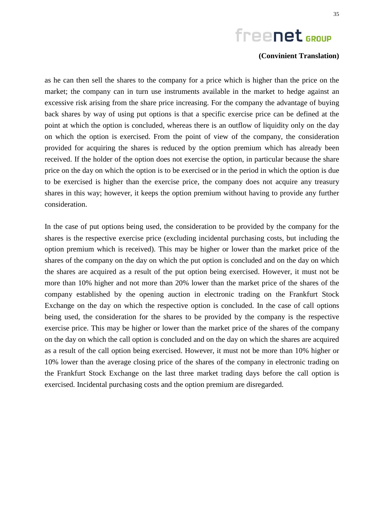### **(Convinient Translation)**

as he can then sell the shares to the company for a price which is higher than the price on the market; the company can in turn use instruments available in the market to hedge against an excessive risk arising from the share price increasing. For the company the advantage of buying back shares by way of using put options is that a specific exercise price can be defined at the point at which the option is concluded, whereas there is an outflow of liquidity only on the day on which the option is exercised. From the point of view of the company, the consideration provided for acquiring the shares is reduced by the option premium which has already been received. If the holder of the option does not exercise the option, in particular because the share price on the day on which the option is to be exercised or in the period in which the option is due to be exercised is higher than the exercise price, the company does not acquire any treasury shares in this way; however, it keeps the option premium without having to provide any further consideration.

In the case of put options being used, the consideration to be provided by the company for the shares is the respective exercise price (excluding incidental purchasing costs, but including the option premium which is received). This may be higher or lower than the market price of the shares of the company on the day on which the put option is concluded and on the day on which the shares are acquired as a result of the put option being exercised. However, it must not be more than 10% higher and not more than 20% lower than the market price of the shares of the company established by the opening auction in electronic trading on the Frankfurt Stock Exchange on the day on which the respective option is concluded. In the case of call options being used, the consideration for the shares to be provided by the company is the respective exercise price. This may be higher or lower than the market price of the shares of the company on the day on which the call option is concluded and on the day on which the shares are acquired as a result of the call option being exercised. However, it must not be more than 10% higher or 10% lower than the average closing price of the shares of the company in electronic trading on the Frankfurt Stock Exchange on the last three market trading days before the call option is exercised. Incidental purchasing costs and the option premium are disregarded.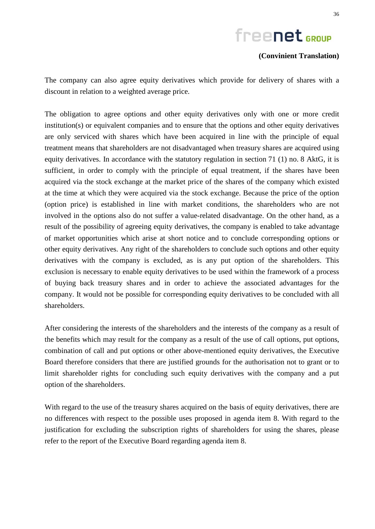

The company can also agree equity derivatives which provide for delivery of shares with a discount in relation to a weighted average price.

The obligation to agree options and other equity derivatives only with one or more credit institution(s) or equivalent companies and to ensure that the options and other equity derivatives are only serviced with shares which have been acquired in line with the principle of equal treatment means that shareholders are not disadvantaged when treasury shares are acquired using equity derivatives. In accordance with the statutory regulation in section 71 (1) no. 8 AktG, it is sufficient, in order to comply with the principle of equal treatment, if the shares have been acquired via the stock exchange at the market price of the shares of the company which existed at the time at which they were acquired via the stock exchange. Because the price of the option (option price) is established in line with market conditions, the shareholders who are not involved in the options also do not suffer a value-related disadvantage. On the other hand, as a result of the possibility of agreeing equity derivatives, the company is enabled to take advantage of market opportunities which arise at short notice and to conclude corresponding options or other equity derivatives. Any right of the shareholders to conclude such options and other equity derivatives with the company is excluded, as is any put option of the shareholders. This exclusion is necessary to enable equity derivatives to be used within the framework of a process of buying back treasury shares and in order to achieve the associated advantages for the company. It would not be possible for corresponding equity derivatives to be concluded with all shareholders.

After considering the interests of the shareholders and the interests of the company as a result of the benefits which may result for the company as a result of the use of call options, put options, combination of call and put options or other above-mentioned equity derivatives, the Executive Board therefore considers that there are justified grounds for the authorisation not to grant or to limit shareholder rights for concluding such equity derivatives with the company and a put option of the shareholders.

With regard to the use of the treasury shares acquired on the basis of equity derivatives, there are no differences with respect to the possible uses proposed in agenda item 8. With regard to the justification for excluding the subscription rights of shareholders for using the shares, please refer to the report of the Executive Board regarding agenda item 8.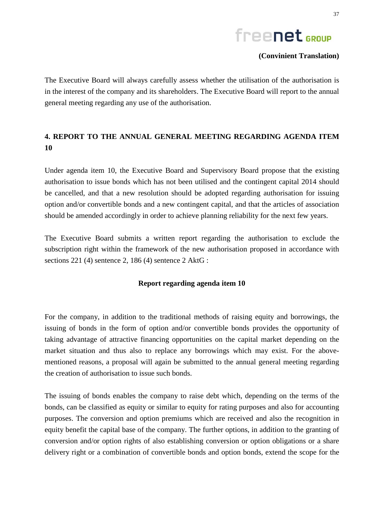## **(Convinient Translation)**

The Executive Board will always carefully assess whether the utilisation of the authorisation is in the interest of the company and its shareholders. The Executive Board will report to the annual general meeting regarding any use of the authorisation.

## **4. REPORT TO THE ANNUAL GENERAL MEETING REGARDING AGENDA ITEM 10**

Under agenda item 10, the Executive Board and Supervisory Board propose that the existing authorisation to issue bonds which has not been utilised and the contingent capital 2014 should be cancelled, and that a new resolution should be adopted regarding authorisation for issuing option and/or convertible bonds and a new contingent capital, and that the articles of association should be amended accordingly in order to achieve planning reliability for the next few years.

The Executive Board submits a written report regarding the authorisation to exclude the subscription right within the framework of the new authorisation proposed in accordance with sections 221 (4) sentence 2, 186 (4) sentence 2 AktG :

### **Report regarding agenda item 10**

For the company, in addition to the traditional methods of raising equity and borrowings, the issuing of bonds in the form of option and/or convertible bonds provides the opportunity of taking advantage of attractive financing opportunities on the capital market depending on the market situation and thus also to replace any borrowings which may exist. For the abovementioned reasons, a proposal will again be submitted to the annual general meeting regarding the creation of authorisation to issue such bonds.

The issuing of bonds enables the company to raise debt which, depending on the terms of the bonds, can be classified as equity or similar to equity for rating purposes and also for accounting purposes. The conversion and option premiums which are received and also the recognition in equity benefit the capital base of the company. The further options, in addition to the granting of conversion and/or option rights of also establishing conversion or option obligations or a share delivery right or a combination of convertible bonds and option bonds, extend the scope for the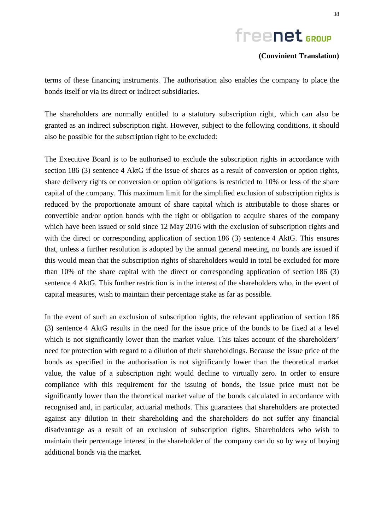### **(Convinient Translation)**

terms of these financing instruments. The authorisation also enables the company to place the bonds itself or via its direct or indirect subsidiaries.

The shareholders are normally entitled to a statutory subscription right, which can also be granted as an indirect subscription right. However, subject to the following conditions, it should also be possible for the subscription right to be excluded:

The Executive Board is to be authorised to exclude the subscription rights in accordance with section 186 (3) sentence 4 AktG if the issue of shares as a result of conversion or option rights, share delivery rights or conversion or option obligations is restricted to 10% or less of the share capital of the company. This maximum limit for the simplified exclusion of subscription rights is reduced by the proportionate amount of share capital which is attributable to those shares or convertible and/or option bonds with the right or obligation to acquire shares of the company which have been issued or sold since 12 May 2016 with the exclusion of subscription rights and with the direct or corresponding application of section 186 (3) sentence 4 AktG. This ensures that, unless a further resolution is adopted by the annual general meeting, no bonds are issued if this would mean that the subscription rights of shareholders would in total be excluded for more than 10% of the share capital with the direct or corresponding application of section 186 (3) sentence 4 AktG. This further restriction is in the interest of the shareholders who, in the event of capital measures, wish to maintain their percentage stake as far as possible.

In the event of such an exclusion of subscription rights, the relevant application of section 186 (3) sentence 4 AktG results in the need for the issue price of the bonds to be fixed at a level which is not significantly lower than the market value. This takes account of the shareholders' need for protection with regard to a dilution of their shareholdings. Because the issue price of the bonds as specified in the authorisation is not significantly lower than the theoretical market value, the value of a subscription right would decline to virtually zero. In order to ensure compliance with this requirement for the issuing of bonds, the issue price must not be significantly lower than the theoretical market value of the bonds calculated in accordance with recognised and, in particular, actuarial methods. This guarantees that shareholders are protected against any dilution in their shareholding and the shareholders do not suffer any financial disadvantage as a result of an exclusion of subscription rights. Shareholders who wish to maintain their percentage interest in the shareholder of the company can do so by way of buying additional bonds via the market.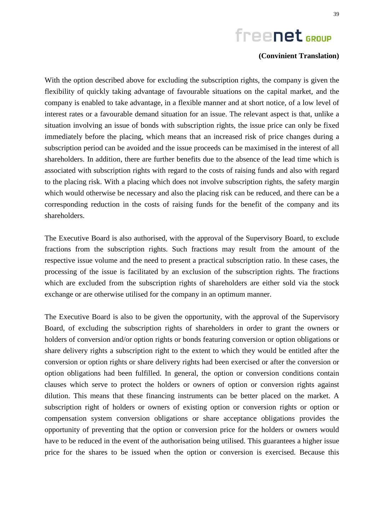## **(Convinient Translation)**

With the option described above for excluding the subscription rights, the company is given the flexibility of quickly taking advantage of favourable situations on the capital market, and the company is enabled to take advantage, in a flexible manner and at short notice, of a low level of interest rates or a favourable demand situation for an issue. The relevant aspect is that, unlike a situation involving an issue of bonds with subscription rights, the issue price can only be fixed immediately before the placing, which means that an increased risk of price changes during a subscription period can be avoided and the issue proceeds can be maximised in the interest of all shareholders. In addition, there are further benefits due to the absence of the lead time which is associated with subscription rights with regard to the costs of raising funds and also with regard to the placing risk. With a placing which does not involve subscription rights, the safety margin which would otherwise be necessary and also the placing risk can be reduced, and there can be a corresponding reduction in the costs of raising funds for the benefit of the company and its shareholders.

The Executive Board is also authorised, with the approval of the Supervisory Board, to exclude fractions from the subscription rights. Such fractions may result from the amount of the respective issue volume and the need to present a practical subscription ratio. In these cases, the processing of the issue is facilitated by an exclusion of the subscription rights. The fractions which are excluded from the subscription rights of shareholders are either sold via the stock exchange or are otherwise utilised for the company in an optimum manner.

The Executive Board is also to be given the opportunity, with the approval of the Supervisory Board, of excluding the subscription rights of shareholders in order to grant the owners or holders of conversion and/or option rights or bonds featuring conversion or option obligations or share delivery rights a subscription right to the extent to which they would be entitled after the conversion or option rights or share delivery rights had been exercised or after the conversion or option obligations had been fulfilled. In general, the option or conversion conditions contain clauses which serve to protect the holders or owners of option or conversion rights against dilution. This means that these financing instruments can be better placed on the market. A subscription right of holders or owners of existing option or conversion rights or option or compensation system conversion obligations or share acceptance obligations provides the opportunity of preventing that the option or conversion price for the holders or owners would have to be reduced in the event of the authorisation being utilised. This guarantees a higher issue price for the shares to be issued when the option or conversion is exercised. Because this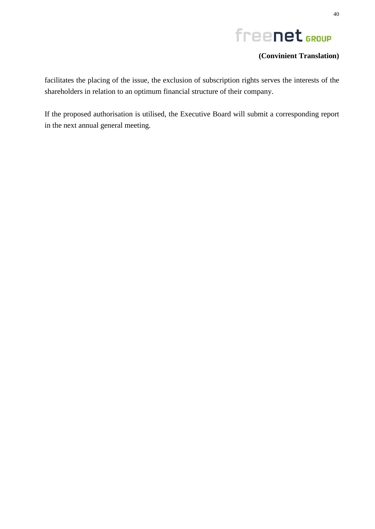

facilitates the placing of the issue, the exclusion of subscription rights serves the interests of the shareholders in relation to an optimum financial structure of their company.

If the proposed authorisation is utilised, the Executive Board will submit a corresponding report in the next annual general meeting.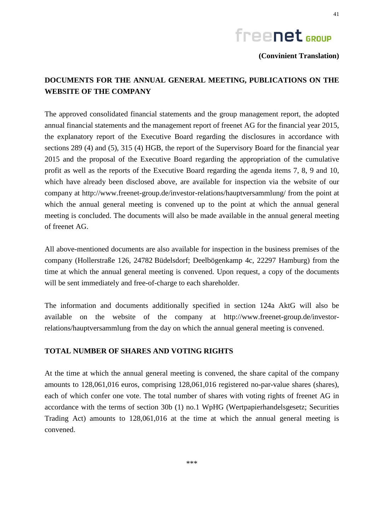

## **DOCUMENTS FOR THE ANNUAL GENERAL MEETING, PUBLICATIONS ON THE WEBSITE OF THE COMPANY**

The approved consolidated financial statements and the group management report, the adopted annual financial statements and the management report of freenet AG for the financial year 2015, the explanatory report of the Executive Board regarding the disclosures in accordance with sections 289 (4) and (5), 315 (4) HGB, the report of the Supervisory Board for the financial year 2015 and the proposal of the Executive Board regarding the appropriation of the cumulative profit as well as the reports of the Executive Board regarding the agenda items 7, 8, 9 and 10, which have already been disclosed above, are available for inspection via the website of our company at http://www.freenet-group.de/investor-relations/hauptversammlung/ from the point at which the annual general meeting is convened up to the point at which the annual general meeting is concluded. The documents will also be made available in the annual general meeting of freenet AG.

All above-mentioned documents are also available for inspection in the business premises of the company (Hollerstraße 126, 24782 Büdelsdorf; Deelbögenkamp 4c, 22297 Hamburg) from the time at which the annual general meeting is convened. Upon request, a copy of the documents will be sent immediately and free-of-charge to each shareholder.

The information and documents additionally specified in section 124a AktG will also be available on the website of the company at http://www.freenet-group.de/investorrelations/hauptversammlung from the day on which the annual general meeting is convened.

#### **TOTAL NUMBER OF SHARES AND VOTING RIGHTS**

At the time at which the annual general meeting is convened, the share capital of the company amounts to 128,061,016 euros, comprising 128,061,016 registered no-par-value shares (shares), each of which confer one vote. The total number of shares with voting rights of freenet AG in accordance with the terms of section 30b (1) no.1 WpHG (Wertpapierhandelsgesetz; Securities Trading Act) amounts to 128,061,016 at the time at which the annual general meeting is convened.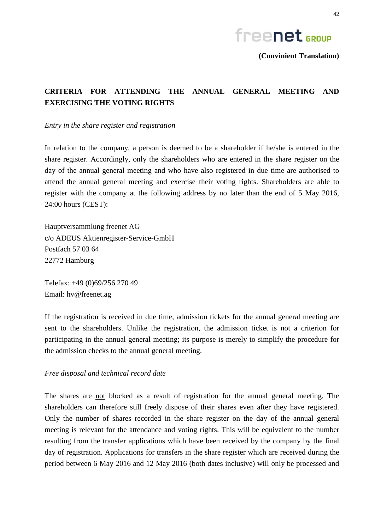

## **CRITERIA FOR ATTENDING THE ANNUAL GENERAL MEETING AND EXERCISING THE VOTING RIGHTS**

*Entry in the share register and registration*

In relation to the company, a person is deemed to be a shareholder if he/she is entered in the share register. Accordingly, only the shareholders who are entered in the share register on the day of the annual general meeting and who have also registered in due time are authorised to attend the annual general meeting and exercise their voting rights. Shareholders are able to register with the company at the following address by no later than the end of 5 May 2016, 24:00 hours (CEST):

Hauptversammlung freenet AG c/o ADEUS Aktienregister-Service-GmbH Postfach 57 03 64 22772 Hamburg

Telefax: +49 (0)69/256 270 49 Email: hv@freenet.ag

If the registration is received in due time, admission tickets for the annual general meeting are sent to the shareholders. Unlike the registration, the admission ticket is not a criterion for participating in the annual general meeting; its purpose is merely to simplify the procedure for the admission checks to the annual general meeting.

#### *Free disposal and technical record date*

The shares are not blocked as a result of registration for the annual general meeting. The shareholders can therefore still freely dispose of their shares even after they have registered. Only the number of shares recorded in the share register on the day of the annual general meeting is relevant for the attendance and voting rights. This will be equivalent to the number resulting from the transfer applications which have been received by the company by the final day of registration. Applications for transfers in the share register which are received during the period between 6 May 2016 and 12 May 2016 (both dates inclusive) will only be processed and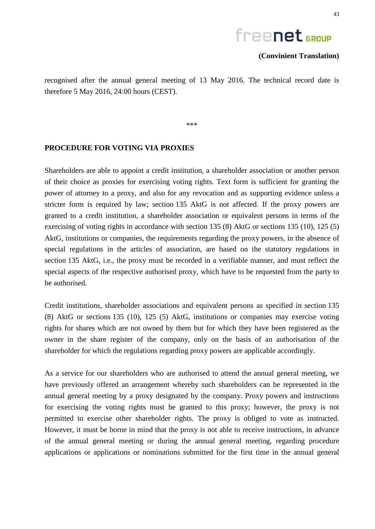

recognised after the annual general meeting of 13 May 2016. The technical record date is therefore 5 May 2016, 24:00 hours (CEST).

\*\*\*

#### **PROCEDURE FOR VOTING VIA PROXIES**

Shareholders are able to appoint a credit institution, a shareholder association or another person of their choice as proxies for exercising voting rights. Text form is sufficient for granting the power of attorney to a proxy, and also for any revocation and as supporting evidence unless a stricter form is required by law; section 135 AktG is not affected. If the proxy powers are granted to a credit institution, a shareholder association or equivalent persons in terms of the exercising of voting rights in accordance with section 135 (8) AktG or sections 135 (10), 125 (5) AktG, institutions or companies, the requirements regarding the proxy powers, in the absence of special regulations in the articles of association, are based on the statutory regulations in section 135 AktG, i.e., the proxy must be recorded in a verifiable manner, and must reflect the special aspects of the respective authorised proxy, which have to be requested from the party to be authorised.

Credit institutions, shareholder associations and equivalent persons as specified in section 135 (8) AktG or sections 135 (10), 125 (5) AktG, institutions or companies may exercise voting rights for shares which are not owned by them but for which they have been registered as the owner in the share register of the company, only on the basis of an authorisation of the shareholder for which the regulations regarding proxy powers are applicable accordingly.

As a service for our shareholders who are authorised to attend the annual general meeting, we have previously offered an arrangement whereby such shareholders can be represented in the annual general meeting by a proxy designated by the company. Proxy powers and instructions for exercising the voting rights must be granted to this proxy; however, the proxy is not permitted to exercise other shareholder rights. The proxy is obliged to vote as instructed. However, it must be borne in mind that the proxy is not able to receive instructions, in advance of the annual general meeting or during the annual general meeting, regarding procedure applications or applications or nominations submitted for the first time in the annual general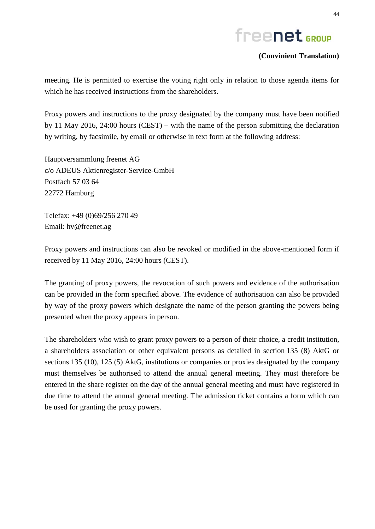## **(Convinient Translation)**

meeting. He is permitted to exercise the voting right only in relation to those agenda items for which he has received instructions from the shareholders.

Proxy powers and instructions to the proxy designated by the company must have been notified by 11 May 2016, 24:00 hours (CEST) – with the name of the person submitting the declaration by writing, by facsimile, by email or otherwise in text form at the following address:

Hauptversammlung freenet AG c/o ADEUS Aktienregister-Service-GmbH Postfach 57 03 64 22772 Hamburg

Telefax: +49 (0)69/256 270 49 Email: hv@freenet.ag

Proxy powers and instructions can also be revoked or modified in the above-mentioned form if received by 11 May 2016, 24:00 hours (CEST).

The granting of proxy powers, the revocation of such powers and evidence of the authorisation can be provided in the form specified above. The evidence of authorisation can also be provided by way of the proxy powers which designate the name of the person granting the powers being presented when the proxy appears in person.

The shareholders who wish to grant proxy powers to a person of their choice, a credit institution, a shareholders association or other equivalent persons as detailed in section 135 (8) AktG or sections 135 (10), 125 (5) AktG, institutions or companies or proxies designated by the company must themselves be authorised to attend the annual general meeting. They must therefore be entered in the share register on the day of the annual general meeting and must have registered in due time to attend the annual general meeting. The admission ticket contains a form which can be used for granting the proxy powers.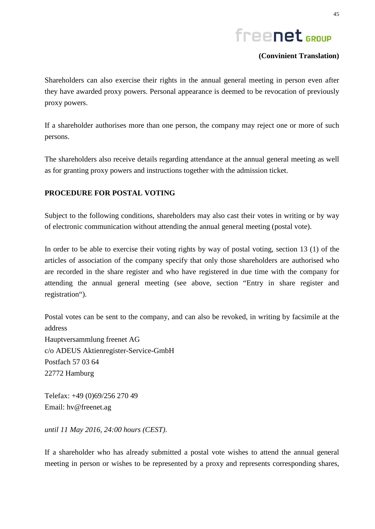

Shareholders can also exercise their rights in the annual general meeting in person even after they have awarded proxy powers. Personal appearance is deemed to be revocation of previously proxy powers.

If a shareholder authorises more than one person, the company may reject one or more of such persons.

The shareholders also receive details regarding attendance at the annual general meeting as well as for granting proxy powers and instructions together with the admission ticket.

## **PROCEDURE FOR POSTAL VOTING**

Subject to the following conditions, shareholders may also cast their votes in writing or by way of electronic communication without attending the annual general meeting (postal vote).

In order to be able to exercise their voting rights by way of postal voting, section 13 (1) of the articles of association of the company specify that only those shareholders are authorised who are recorded in the share register and who have registered in due time with the company for attending the annual general meeting (see above, section "Entry in share register and registration").

Postal votes can be sent to the company, and can also be revoked, in writing by facsimile at the address Hauptversammlung freenet AG c/o ADEUS Aktienregister-Service-GmbH Postfach 57 03 64 22772 Hamburg

Telefax: +49 (0)69/256 270 49 Email: hv@freenet.ag

*until 11 May 2016, 24:00 hours (CEST)*.

If a shareholder who has already submitted a postal vote wishes to attend the annual general meeting in person or wishes to be represented by a proxy and represents corresponding shares,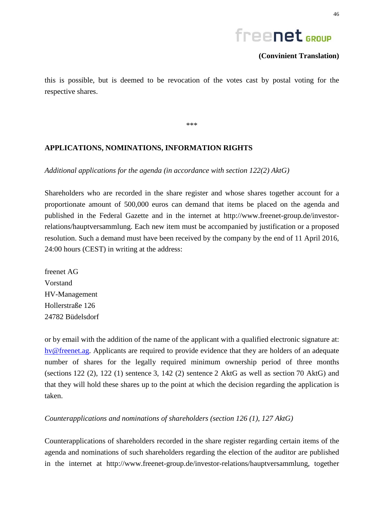

this is possible, but is deemed to be revocation of the votes cast by postal voting for the respective shares.

\*\*\*

### **APPLICATIONS, NOMINATIONS, INFORMATION RIGHTS**

#### *Additional applications for the agenda (in accordance with section 122(2) AktG)*

Shareholders who are recorded in the share register and whose shares together account for a proportionate amount of 500,000 euros can demand that items be placed on the agenda and published in the Federal Gazette and in the internet at http://www.freenet-group.de/investorrelations/hauptversammlung. Each new item must be accompanied by justification or a proposed resolution. Such a demand must have been received by the company by the end of 11 April 2016, 24:00 hours (CEST) in writing at the address:

freenet AG Vorstand HV-Management Hollerstraße 126 24782 Büdelsdorf

or by email with the addition of the name of the applicant with a qualified electronic signature at: [hv@freenet.ag.](mailto:hv@freenet.ag) Applicants are required to provide evidence that they are holders of an adequate number of shares for the legally required minimum ownership period of three months (sections 122 (2), 122 (1) sentence 3, 142 (2) sentence 2 AktG as well as section 70 AktG) and that they will hold these shares up to the point at which the decision regarding the application is taken.

#### *Counterapplications and nominations of shareholders (section 126 (1), 127 AktG)*

Counterapplications of shareholders recorded in the share register regarding certain items of the agenda and nominations of such shareholders regarding the election of the auditor are published in the internet at http://www.freenet-group.de/investor-relations/hauptversammlung, together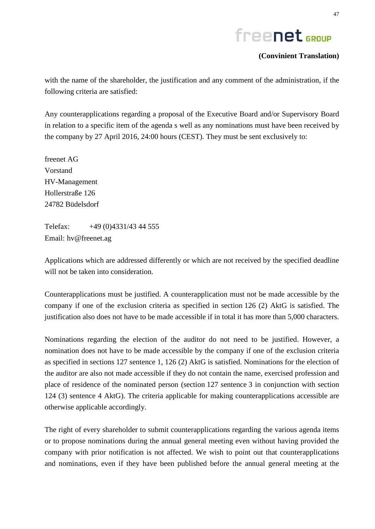

with the name of the shareholder, the justification and any comment of the administration, if the following criteria are satisfied:

Any counterapplications regarding a proposal of the Executive Board and/or Supervisory Board in relation to a specific item of the agenda s well as any nominations must have been received by the company by 27 April 2016, 24:00 hours (CEST). They must be sent exclusively to:

freenet AG Vorstand HV-Management Hollerstraße 126 24782 Büdelsdorf

Telefax: +49 (0)4331/43 44 555 Email: hv@freenet.ag

Applications which are addressed differently or which are not received by the specified deadline will not be taken into consideration.

Counterapplications must be justified. A counterapplication must not be made accessible by the company if one of the exclusion criteria as specified in section 126 (2) AktG is satisfied. The justification also does not have to be made accessible if in total it has more than 5,000 characters.

Nominations regarding the election of the auditor do not need to be justified. However, a nomination does not have to be made accessible by the company if one of the exclusion criteria as specified in sections 127 sentence 1, 126 (2) AktG is satisfied. Nominations for the election of the auditor are also not made accessible if they do not contain the name, exercised profession and place of residence of the nominated person (section 127 sentence 3 in conjunction with section 124 (3) sentence 4 AktG). The criteria applicable for making counterapplications accessible are otherwise applicable accordingly.

The right of every shareholder to submit counterapplications regarding the various agenda items or to propose nominations during the annual general meeting even without having provided the company with prior notification is not affected. We wish to point out that counterapplications and nominations, even if they have been published before the annual general meeting at the